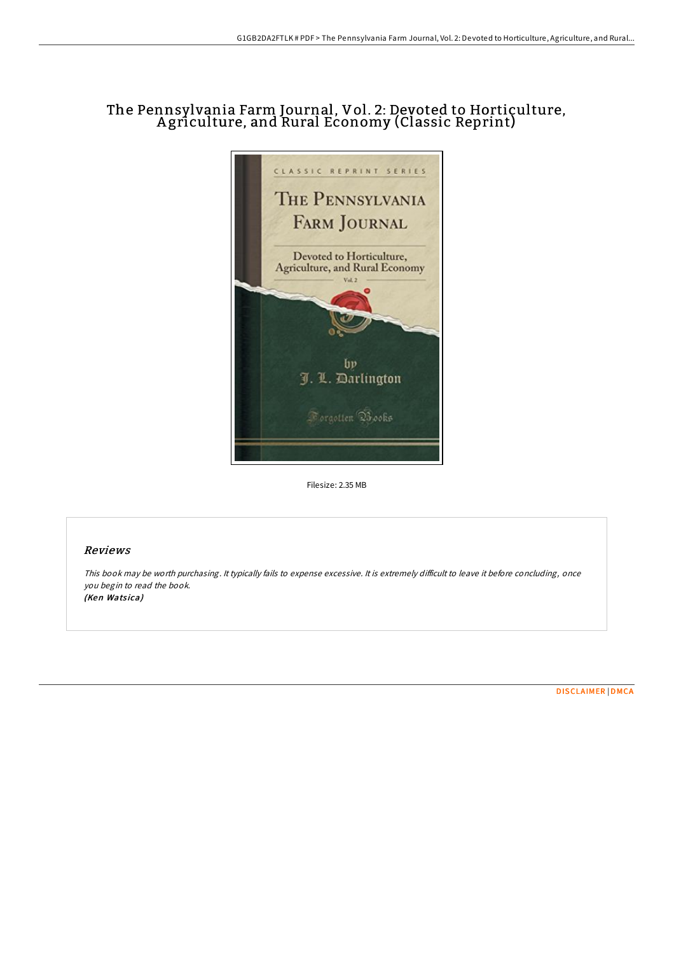# The Pennsylvania Farm Journal, Vol. 2: Devoted to Horticulture, A griculture, and Rural Economy (Classic Reprint)



Filesize: 2.35 MB

### Reviews

This book may be worth purchasing. It typically fails to expense excessive. It is extremely difficult to leave it before concluding, once you begin to read the book. (Ken Watsica)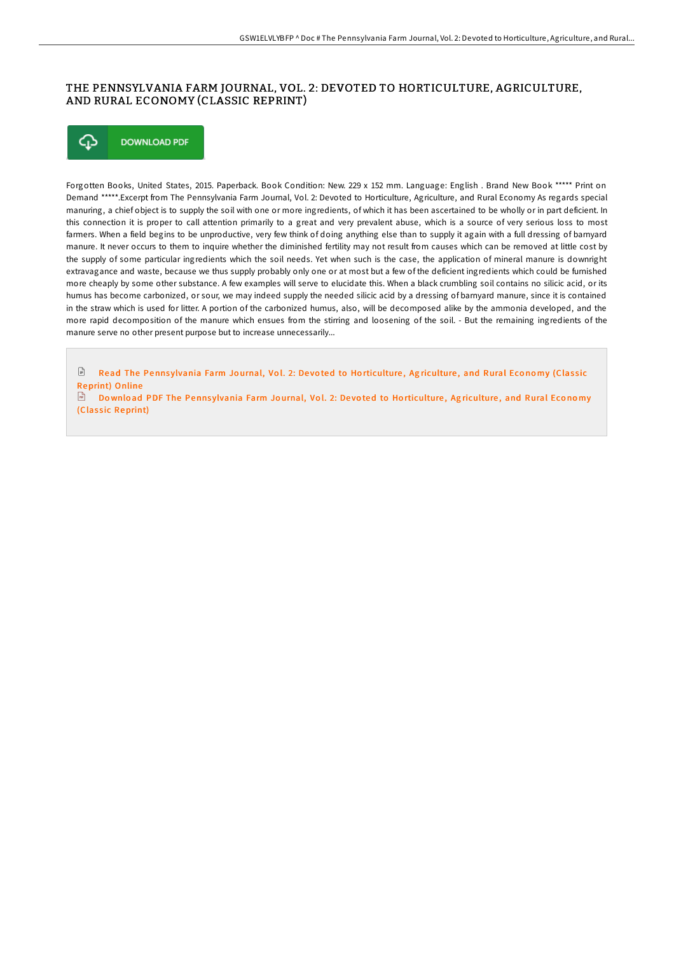### THE PENNSYLVANIA FARM JOURNAL, VOL. 2: DEVOTED TO HORTICULTURE, AGRICULTURE, AND RURAL ECONOMY (CLASSIC REPRINT)



Forgotten Books, United States, 2015. Paperback. Book Condition: New. 229 x 152 mm. Language: English . Brand New Book \*\*\*\*\* Print on Demand \*\*\*\*\*.Excerpt from The Pennsylvania Farm Journal, Vol. 2: Devoted to Horticulture, Agriculture, and Rural Economy As regards special manuring, a chief object is to supply the soil with one or more ingredients, of which it has been ascertained to be wholly or in part deficient. In this connection it is proper to call attention primarily to a great and very prevalent abuse, which is a source of very serious loss to most farmers. When a field begins to be unproductive, very few think of doing anything else than to supply it again with a full dressing of barnyard manure. It never occurs to them to inquire whether the diminished fertility may not result from causes which can be removed at little cost by the supply of some particular ingredients which the soil needs. Yet when such is the case, the application of mineral manure is downright extravagance and waste, because we thus supply probably only one or at most but a few of the deficient ingredients which could be furnished more cheaply by some other substance. A few examples will serve to elucidate this. When a black crumbling soil contains no silicic acid, or its humus has become carbonized, or sour, we may indeed supply the needed silicic acid by a dressing of barnyard manure, since it is contained in the straw which is used for litter. A portion of the carbonized humus, also, will be decomposed alike by the ammonia developed, and the more rapid decomposition of the manure which ensues from the stirring and loosening of the soil. - But the remaining ingredients of the manure serve no other present purpose but to increase unnecessarily...

 $\mathbb{R}$ Read The Pennsylvania Farm Journal, Vol. 2: Devoted to Ho[rticulture](http://almighty24.tech/the-pennsylvania-farm-journal-vol-2-devoted-to-h.html), Agriculture, and Rural Economy (Classic Reprint) Online

 $\mathbb F$  Download PDF The Pennsylvania Farm Journal, Vol. 2: Devoted to Ho[rticulture](http://almighty24.tech/the-pennsylvania-farm-journal-vol-2-devoted-to-h.html), Agriculture, and Rural Economy (Classic Reprint)